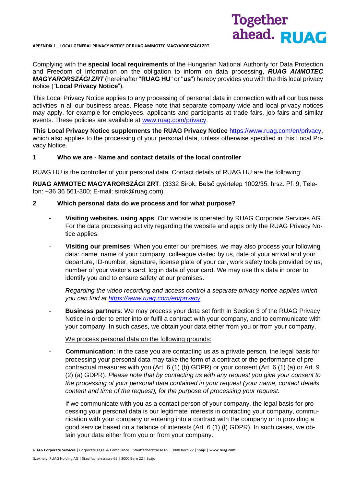**APPENDIX 1 \_ LOCAL GENERAL PRIVACY NOTICE OF RUAG AMMOTEC MAGYARORSZÁGI ZRT.**



Complying with the **special local requirements** of the Hungarian National Authority for Data Protection and Freedom of Information on the obligation to inform on data processing, *RUAG AMMOTEC MAGYARORSZÁGI ZRT* (hereinafter "**RUAG HU**" or "**us**") hereby provides you with the this local privacy notice ("**Local Privacy Notice**").

This Local Privacy Notice applies to any processing of personal data in connection with all our business activities in all our business areas. Please note that separate company-wide and local privacy notices may apply, for example for employees, applicants and participants at trade fairs, job fairs and similar events. These policies are available at [www.ruag.com/privacy.](http://www.ruag.com/privacy)

**This Local Privacy Notice supplements the RUAG Privacy Notice** [https://www.ruag.com/en/privacy,](https://www.ruag.com/en/privacy) which also applies to the processing of your personal data, unless otherwise specified in this Local Privacy Notice.

## **1 Who we are - Name and contact details of the local controller**

RUAG HU is the controller of your personal data. Contact details of RUAG HU are the following:

**RUAG AMMOTEC MAGYARORSZÁGI ZRT**. (3332 Sirok, Belső gyártelep 1002/35. hrsz. Pf: 9, Telefon: +36 36 561-300; E-mail: sirok@ruag.com)

#### **2 Which personal data do we process and for what purpose?**

- **Visiting websites, using apps**: Our website is operated by RUAG Corporate Services AG. For the data processing activity regarding the website and apps only the RUAG Privacy Notice applies.
- **Visiting our premises**: When you enter our premises, we may also process your following data: name, name of your company, colleague visited by us, date of your arrival and your departure, ID-number, signature, license plate of your car, work safety tools provided by us, number of your visitor's card, log in data of your card. We may use this data in order to identify you and to ensure safety at our premises.

*Regarding the video recording and access control a separate privacy notice applies which you can find at [https://www.ruag.com/en/privacy.](https://www.ruag.com/en/privacy)*

- **Business partners**: We may process your data set forth in Section 3 of the RUAG Privacy Notice in order to enter into or fulfil a contract with your company, and to communicate with your company. In such cases, we obtain your data either from you or from your company.

We process personal data on the following grounds:

**Communication**: In the case you are contacting us as a private person, the legal basis for processing your personal data may take the form of a contract or the performance of precontractual measures with you (Art. 6 (1) (b) GDPR) or your consent (Art. 6 (1) (a) or Art. 9 (2) (a) GDPR). *Please note that by contacting us with any request you give your consent to the processing of your personal data contained in your request (your name, contact details, content and time of the request), for the purpose of processing your request.*

If we communicate with you as a contact person of your company, the legal basis for processing your personal data is our legitimate interests in contacting your company, communication with your company or entering into a contract with the company or in providing a good service based on a balance of interests (Art. 6 (1) (f) GDPR). In such cases, we obtain your data either from you or from your company.

**RUAG Corporate Services** | Corporate Legal & Compliance | Stauffacherstrasse 65 | 3000 Bern 22 | Svájc | **www.ruag.com**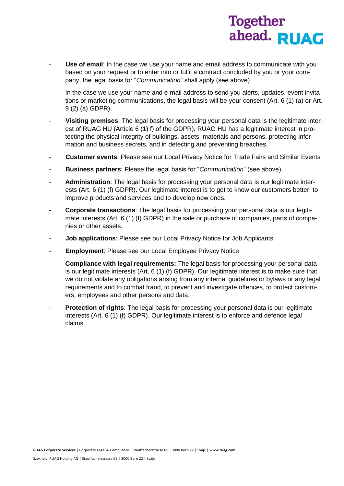

**Use of email:** In the case we use your name and email address to communicate with you based on your request or to enter into or fulfil a contract concluded by you or your company, the legal basis for "*Communication*" shall apply (see above).

In the case we use your name and e-mail address to send you alerts, updates, event invitations or marketing communications, the legal basis will be your consent (Art. 6 (1) (a) or Art. 9 (2) (a) GDPR).

- **Visiting premises**: The legal basis for processing your personal data is the legitimate interest of RUAG HU (Article 6 (1) f) of the GDPR). RUAG HU has a legitimate interest in protecting the physical integrity of buildings, assets, materials and persons, protecting information and business secrets, and in detecting and preventing breaches.
- **Customer events**: Please see our Local Privacy Notice for Trade Fairs and Similar Events
- **Business partners**: Please the legal basis for "*Communication*" (see above).
- **Administration**: The legal basis for processing your personal data is our legitimate interests (Art. 6 (1) (f) GDPR). Our legitimate interest is to get to know our customers better, to improve products and services and to develop new ones.
- **Corporate transactions**: The legal basis for processing your personal data is our legitimate interests (Art. 6 (1) (f) GDPR) in the sale or purchase of companies, parts of companies or other assets.
- **Job applications: Please see our Local Privacy Notice for Job Applicants**
- **Employment**: Please see our Local Employee Privacy Notice
- **Compliance with legal requirements:** The legal basis for processing your personal data is our legitimate interests (Art. 6 (1) (f) GDPR). Our legitimate interest is to make sure that we do not violate any obligations arising from any internal guidelines or bylaws or any legal requirements and to combat fraud, to prevent and investigate offences, to protect customers, employees and other persons and data.
- **Protection of rights**: The legal basis for processing your personal data is our legitimate interests (Art. 6 (1) (f) GDPR). Our legitimate interest is to enforce and defence legal claims.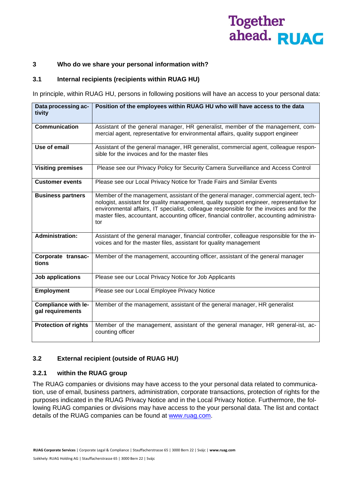### **3 Who do we share your personal information with?**

## **3.1 Internal recipients (recipients within RUAG HU)**

In principle, within RUAG HU, persons in following positions will have an access to your personal data:

| Data processing ac-<br>tivity                  | Position of the employees within RUAG HU who will have access to the data                                                                                                                                                                                                                                                                                                        |
|------------------------------------------------|----------------------------------------------------------------------------------------------------------------------------------------------------------------------------------------------------------------------------------------------------------------------------------------------------------------------------------------------------------------------------------|
| <b>Communication</b>                           | Assistant of the general manager, HR generalist, member of the management, com-<br>mercial agent, representative for environmental affairs, quality support engineer                                                                                                                                                                                                             |
| Use of email                                   | Assistant of the general manager, HR generalist, commercial agent, colleague respon-<br>sible for the invoices and for the master files                                                                                                                                                                                                                                          |
| <b>Visiting premises</b>                       | Please see our Privacy Policy for Security Camera Surveillance and Access Control                                                                                                                                                                                                                                                                                                |
| <b>Customer events</b>                         | Please see our Local Privacy Notice for Trade Fairs and Similar Events                                                                                                                                                                                                                                                                                                           |
| <b>Business partners</b>                       | Member of the management, assistant of the general manager, commercial agent, tech-<br>nologist, assistant for quality management, quality support engineer, representative for<br>environmental affairs, IT specialist, colleague responsible for the invoices and for the<br>master files, accountant, accounting officer, financial controller, accounting administra-<br>tor |
| <b>Administration:</b>                         | Assistant of the general manager, financial controller, colleague responsible for the in-<br>voices and for the master files, assistant for quality management                                                                                                                                                                                                                   |
| Corporate transac-<br>tions                    | Member of the management, accounting officer, assistant of the general manager                                                                                                                                                                                                                                                                                                   |
| Job applications                               | Please see our Local Privacy Notice for Job Applicants                                                                                                                                                                                                                                                                                                                           |
| <b>Employment</b>                              | Please see our Local Employee Privacy Notice                                                                                                                                                                                                                                                                                                                                     |
| <b>Compliance with le-</b><br>gal requirements | Member of the management, assistant of the general manager, HR generalist                                                                                                                                                                                                                                                                                                        |
| <b>Protection of rights</b>                    | Member of the management, assistant of the general manager, HR general-ist, ac-<br>counting officer                                                                                                                                                                                                                                                                              |

## **3.2 External recipient (outside of RUAG HU)**

#### **3.2.1 within the RUAG group**

The RUAG companies or divisions may have access to the your personal data related to communication, use of email, business partners, administration, corporate transactions, protection of rights for the purposes indicated in the RUAG Privacy Notice and in the Local Privacy Notice. Furthermore, the following RUAG companies or divisions may have access to the your personal data. The list and contact details of the RUAG companies can be found at [www.ruag.com.](http://www.ruag.com/)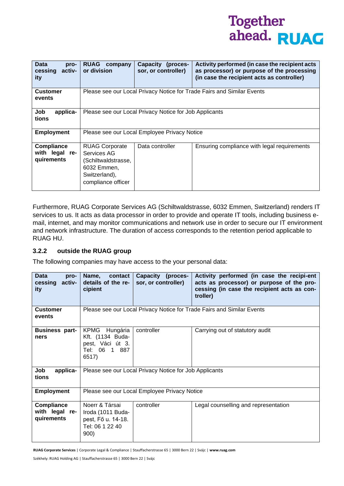| <b>Data</b><br>pro-<br>activ-<br>cessing<br>ity   | <b>RUAG</b> company<br>or division                                                                                | Capacity (proces-<br>sor, or controller)               | Activity performed (in case the recipient acts<br>as processor) or purpose of the processing<br>(in case the recipient acts as controller) |
|---------------------------------------------------|-------------------------------------------------------------------------------------------------------------------|--------------------------------------------------------|--------------------------------------------------------------------------------------------------------------------------------------------|
| <b>Customer</b><br>events                         |                                                                                                                   |                                                        | Please see our Local Privacy Notice for Trade Fairs and Similar Events                                                                     |
| Job<br>applica-<br>tions                          |                                                                                                                   | Please see our Local Privacy Notice for Job Applicants |                                                                                                                                            |
| <b>Employment</b>                                 | Please see our Local Employee Privacy Notice                                                                      |                                                        |                                                                                                                                            |
| <b>Compliance</b><br>with legal re-<br>quirements | <b>RUAG Corporate</b><br>Services AG<br>(Schiltwaldstrasse,<br>6032 Emmen,<br>Switzerland),<br>compliance officer | Data controller                                        | Ensuring compliance with legal requirements                                                                                                |

Furthermore, RUAG Corporate Services AG (Schiltwaldstrasse, 6032 Emmen, Switzerland) renders IT services to us. It acts as data processor in order to provide and operate IT tools, including business email, internet, and may monitor communications and network use in order to secure our IT environment and network infrastructure. The duration of access corresponds to the retention period applicable to RUAG HU.

## **3.2.2 outside the RUAG group**

The following companies may have access to the your personal data:

| <b>Data</b><br>pro-<br>activ-<br>cessing<br>ity   | contact<br>Name,<br>details of the re-<br>cipient                                    | Capacity (proces-<br>sor, or controller)               | Activity performed (in case the recipi-ent<br>acts as processor) or purpose of the pro-<br>cessing (in case the recipient acts as con-<br>troller) |
|---------------------------------------------------|--------------------------------------------------------------------------------------|--------------------------------------------------------|----------------------------------------------------------------------------------------------------------------------------------------------------|
| <b>Customer</b><br>events                         |                                                                                      |                                                        | Please see our Local Privacy Notice for Trade Fairs and Similar Events                                                                             |
| <b>Business part-</b><br>ners                     | KPMG Hungária<br>Kft. (1134 Buda-<br>pest, Váci út 3.<br>Tel: 06 1 887<br>6517)      | controller                                             | Carrying out of statutory audit                                                                                                                    |
| Job<br>applica-<br>tions                          |                                                                                      | Please see our Local Privacy Notice for Job Applicants |                                                                                                                                                    |
| <b>Employment</b>                                 | Please see our Local Employee Privacy Notice                                         |                                                        |                                                                                                                                                    |
| <b>Compliance</b><br>with legal re-<br>quirements | Noerr & Társai<br>Iroda (1011 Buda-<br>pest, Fő u. 14-18.<br>Tel: 06 1 22 40<br>900) | controller                                             | Legal counselling and representation                                                                                                               |

**RUAG Corporate Services** | Corporate Legal & Compliance | Stauffacherstrasse 65 | 3000 Bern 22 | Svájc | **www.ruag.com**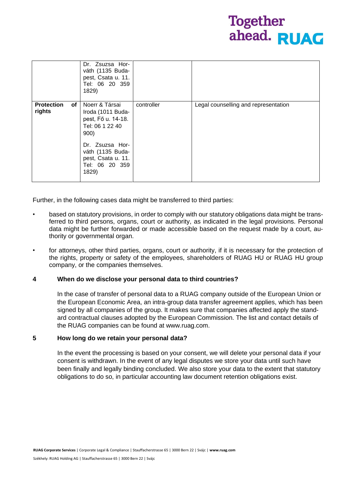|                                                | Dr. Zsuzsa Hor-<br>váth (1135 Buda-<br>pest, Csata u. 11.<br>Tel: 06 20 359<br>1829)                                                                                         |            |                                      |
|------------------------------------------------|------------------------------------------------------------------------------------------------------------------------------------------------------------------------------|------------|--------------------------------------|
| <b>Protection</b><br>of <sub>1</sub><br>rights | Noerr & Társai<br>Iroda (1011 Buda-<br>pest, Fő u. 14-18.<br>Tel: 06 1 22 40<br>900)<br>Dr. Zsuzsa Hor-<br>váth (1135 Buda-<br>pest, Csata u. 11.<br>Tel: 06 20 359<br>1829) | controller | Legal counselling and representation |

Further, in the following cases data might be transferred to third parties:

- based on statutory provisions, in order to comply with our statutory obligations data might be transferred to third persons, organs, court or authority, as indicated in the legal provisions. Personal data might be further forwarded or made accessible based on the request made by a court, authority or governmental organ.
- for attorneys, other third parties, organs, court or authority, if it is necessary for the protection of the rights, property or safety of the employees, shareholders of RUAG HU or RUAG HU group company, or the companies themselves.

#### **4 When do we disclose your personal data to third countries?**

In the case of transfer of personal data to a RUAG company outside of the European Union or the European Economic Area, an intra-group data transfer agreement applies, which has been signed by all companies of the group. It makes sure that companies affected apply the standard contractual clauses adopted by the European Commission. The list and contact details of the RUAG companies can be found at www.ruag.com.

#### **5 How long do we retain your personal data?**

In the event the processing is based on your consent, we will delete your personal data if your consent is withdrawn. In the event of any legal disputes we store your data until such have been finally and legally binding concluded. We also store your data to the extent that statutory obligations to do so, in particular accounting law document retention obligations exist.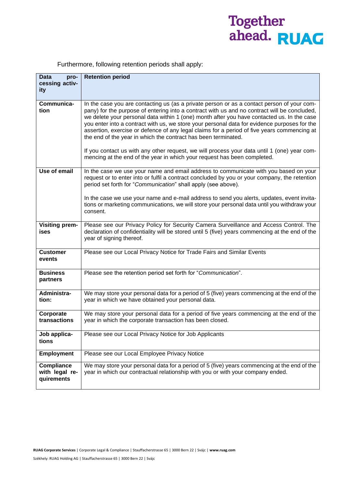# Together<br>ahead. RUAC

| Furthermore, following retention periods shall apply: |  |  |  |  |  |  |
|-------------------------------------------------------|--|--|--|--|--|--|
|-------------------------------------------------------|--|--|--|--|--|--|

| <b>Data</b><br>pro-<br>cessing activ-<br>ity | <b>Retention period</b>                                                                                                                                                                                                                                                                                                                                                                                                                                                                                                                                                                                                                                  |
|----------------------------------------------|----------------------------------------------------------------------------------------------------------------------------------------------------------------------------------------------------------------------------------------------------------------------------------------------------------------------------------------------------------------------------------------------------------------------------------------------------------------------------------------------------------------------------------------------------------------------------------------------------------------------------------------------------------|
| Communica-<br>tion                           | In the case you are contacting us (as a private person or as a contact person of your com-<br>pany) for the purpose of entering into a contract with us and no contract will be concluded,<br>we delete your personal data within 1 (one) month after you have contacted us. In the case<br>you enter into a contract with us, we store your personal data for evidence purposes for the<br>assertion, exercise or defence of any legal claims for a period of five years commencing at<br>the end of the year in which the contract has been terminated.<br>If you contact us with any other request, we will process your data until 1 (one) year com- |
|                                              | mencing at the end of the year in which your request has been completed.                                                                                                                                                                                                                                                                                                                                                                                                                                                                                                                                                                                 |
| Use of email                                 | In the case we use your name and email address to communicate with you based on your<br>request or to enter into or fulfil a contract concluded by you or your company, the retention<br>period set forth for "Communication" shall apply (see above).                                                                                                                                                                                                                                                                                                                                                                                                   |
|                                              | In the case we use your name and e-mail address to send you alerts, updates, event invita-<br>tions or marketing communications, we will store your personal data until you withdraw your<br>consent.                                                                                                                                                                                                                                                                                                                                                                                                                                                    |
| <b>Visiting prem-</b><br>ises                | Please see our Privacy Policy for Security Camera Surveillance and Access Control. The<br>declaration of confidentiality will be stored until 5 (five) years commencing at the end of the<br>year of signing thereof.                                                                                                                                                                                                                                                                                                                                                                                                                                    |
| <b>Customer</b><br>events                    | Please see our Local Privacy Notice for Trade Fairs and Similar Events                                                                                                                                                                                                                                                                                                                                                                                                                                                                                                                                                                                   |
| <b>Business</b><br>partners                  | Please see the retention period set forth for "Communication".                                                                                                                                                                                                                                                                                                                                                                                                                                                                                                                                                                                           |
| Administra-<br>tion:                         | We may store your personal data for a period of 5 (five) years commencing at the end of the<br>year in which we have obtained your personal data.                                                                                                                                                                                                                                                                                                                                                                                                                                                                                                        |
| Corporate<br>transactions                    | We may store your personal data for a period of five years commencing at the end of the<br>year in which the corporate transaction has been closed.                                                                                                                                                                                                                                                                                                                                                                                                                                                                                                      |
| Job applica-<br>tions                        | Please see our Local Privacy Notice for Job Applicants                                                                                                                                                                                                                                                                                                                                                                                                                                                                                                                                                                                                   |
| <b>Employment</b>                            | Please see our Local Employee Privacy Notice                                                                                                                                                                                                                                                                                                                                                                                                                                                                                                                                                                                                             |
| Compliance<br>with legal re-<br>quirements   | We may store your personal data for a period of 5 (five) years commencing at the end of the<br>year in which our contractual relationship with you or with your company ended.                                                                                                                                                                                                                                                                                                                                                                                                                                                                           |

**RUAG Corporate Services** | Corporate Legal & Compliance | Stauffacherstrasse 65 | 3000 Bern 22 | Svájc | **www.ruag.com**